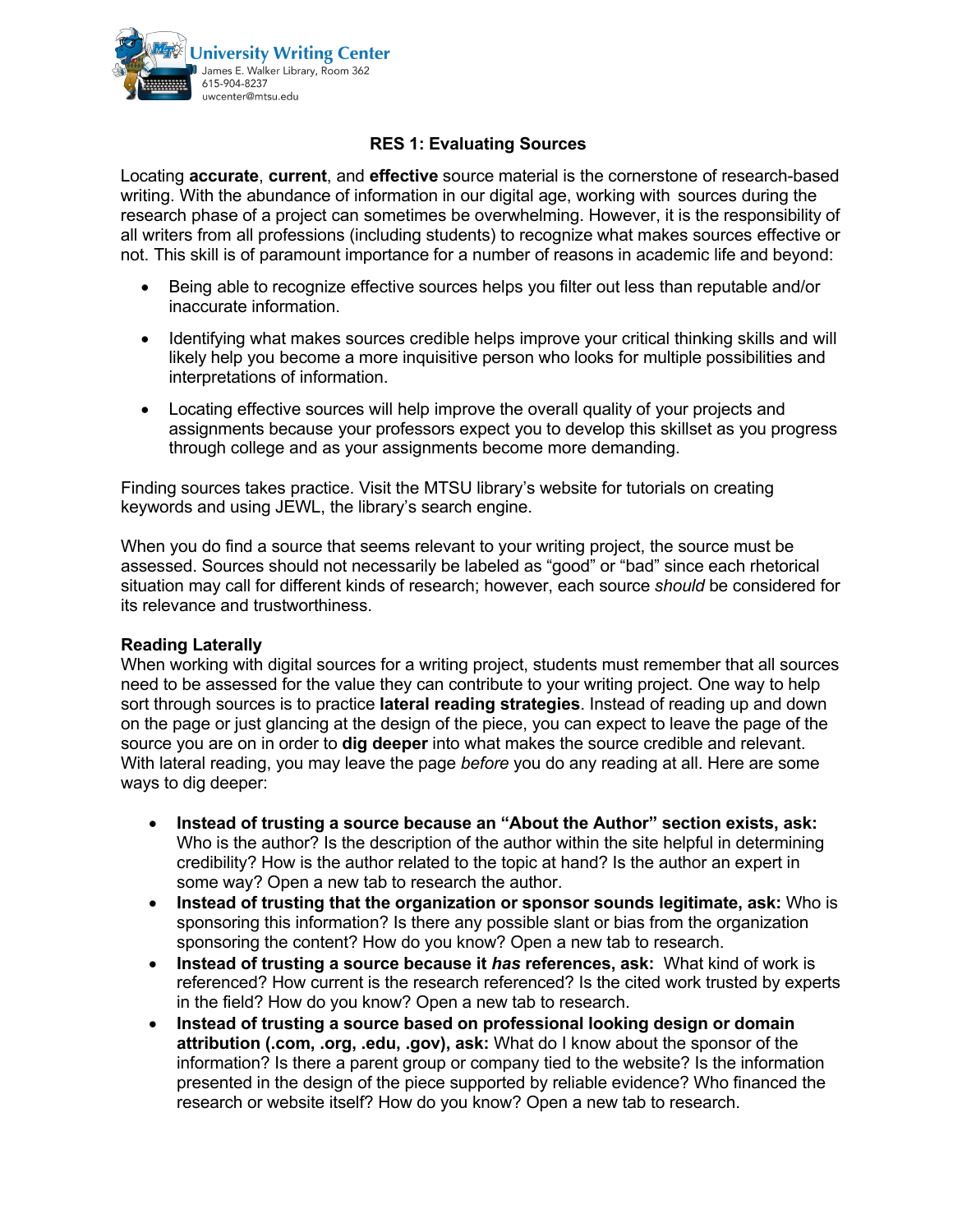

## **RES 1: Evaluating Sources**

Locating **accurate**, **current**, and **effective** source material is the cornerstone of research-based writing. With the abundance of information in our digital age, working with sources during the research phase of a project can sometimes be overwhelming. However, it is the responsibility of all writers from all professions (including students) to recognize what makes sources effective or not. This skill is of paramount importance for a number of reasons in academic life and beyond:

- Being able to recognize effective sources helps you filter out less than reputable and/or inaccurate information.
- Identifying what makes sources credible helps improve your critical thinking skills and will likely help you become a more inquisitive person who looks for multiple possibilities and interpretations of information.
- Locating effective sources will help improve the overall quality of your projects and assignments because your professors expect you to develop this skillset as you progress through college and as your assignments become more demanding.

Finding sources takes practice. Visit the MTSU library's website for tutorials on creating keywords and using JEWL, the library's search engine.

When you do find a source that seems relevant to your writing project, the source must be assessed. Sources should not necessarily be labeled as "good" or "bad" since each rhetorical situation may call for different kinds of research; however, each source *should* be considered for its relevance and trustworthiness.

## **Reading Laterally**

When working with digital sources for a writing project, students must remember that all sources need to be assessed for the value they can contribute to your writing project. One way to help sort through sources is to practice **lateral reading strategies**. Instead of reading up and down on the page or just glancing at the design of the piece, you can expect to leave the page of the source you are on in order to **dig deeper** into what makes the source credible and relevant. With lateral reading, you may leave the page *before* you do any reading at all. Here are some ways to dig deeper:

- **Instead of trusting a source because an "About the Author" section exists, ask:** Who is the author? Is the description of the author within the site helpful in determining credibility? How is the author related to the topic at hand? Is the author an expert in some way? Open a new tab to research the author.
- **Instead of trusting that the organization or sponsor sounds legitimate, ask:** Who is sponsoring this information? Is there any possible slant or bias from the organization sponsoring the content? How do you know? Open a new tab to research.
- **Instead of trusting a source because it** *has* **references, ask:** What kind of work is referenced? How current is the research referenced? Is the cited work trusted by experts in the field? How do you know? Open a new tab to research.
- **Instead of trusting a source based on professional looking design or domain attribution (.com, .org, .edu, .gov), ask:** What do I know about the sponsor of the information? Is there a parent group or company tied to the website? Is the information presented in the design of the piece supported by reliable evidence? Who financed the research or website itself? How do you know? Open a new tab to research.